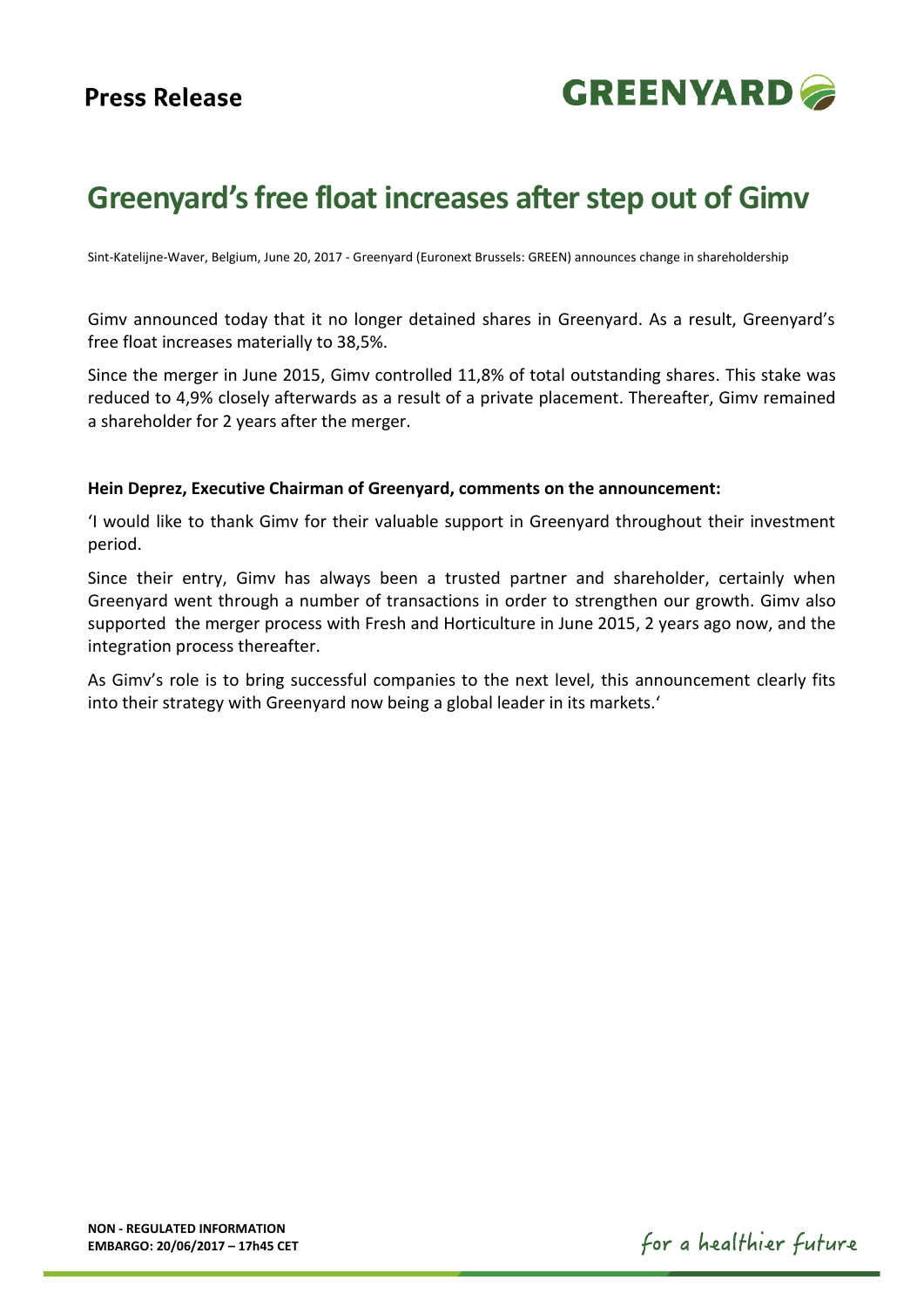## **Press Release**



# **Greenyard'sfree float increases after step out of Gimv**

Sint-Katelijne-Waver, Belgium, June 20, 2017 - Greenyard (Euronext Brussels: GREEN) announces change in shareholdership

Gimv announced today that it no longer detained shares in Greenyard. As a result, Greenyard's free float increases materially to 38,5%.

Since the merger in June 2015, Gimv controlled 11,8% of total outstanding shares. This stake was reduced to 4,9% closely afterwards as a result of a private placement. Thereafter, Gimv remained a shareholder for 2 years after the merger.

### **Hein Deprez, Executive Chairman of Greenyard, comments on the announcement:**

'I would like to thank Gimv for their valuable support in Greenyard throughout their investment period.

Since their entry, Gimv has always been a trusted partner and shareholder, certainly when Greenyard went through a number of transactions in order to strengthen our growth. Gimv also supported the merger process with Fresh and Horticulture in June 2015, 2 years ago now, and the integration process thereafter.

As Gimv's role is to bring successful companies to the next level, this announcement clearly fits into their strategy with Greenyard now being a global leader in its markets.'

for a healthier future